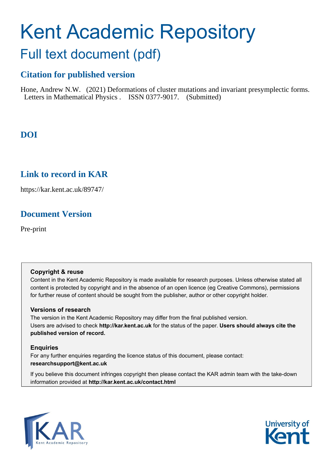# Kent Academic Repository

# Full text document (pdf)

# **Citation for published version**

Hone, Andrew N.W. (2021) Deformations of cluster mutations and invariant presymplectic forms. Letters in Mathematical Physics . ISSN 0377-9017. (Submitted)

# **DOI**

# **Link to record in KAR**

https://kar.kent.ac.uk/89747/

# **Document Version**

Pre-print

#### **Copyright & reuse**

Content in the Kent Academic Repository is made available for research purposes. Unless otherwise stated all content is protected by copyright and in the absence of an open licence (eg Creative Commons), permissions for further reuse of content should be sought from the publisher, author or other copyright holder.

#### **Versions of research**

The version in the Kent Academic Repository may differ from the final published version. Users are advised to check **http://kar.kent.ac.uk** for the status of the paper. **Users should always cite the published version of record.**

#### **Enquiries**

For any further enquiries regarding the licence status of this document, please contact: **researchsupport@kent.ac.uk**

If you believe this document infringes copyright then please contact the KAR admin team with the take-down information provided at **http://kar.kent.ac.uk/contact.html**



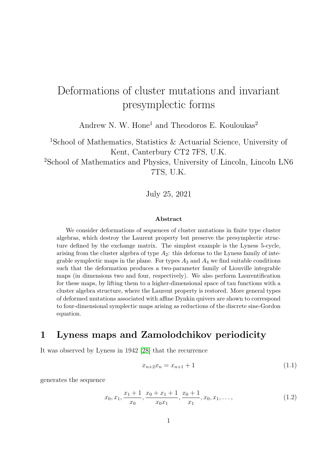# Deformations of cluster mutations and invariant presymplectic forms

Andrew N. W. Hone<sup>1</sup> and Theodoros E. Kouloukas<sup>2</sup>

<sup>1</sup>School of Mathematics, Statistics & Actuarial Science, University of Kent, Canterbury CT2 7FS, U.K.

<sup>2</sup>School of Mathematics and Physics, University of Lincoln, Lincoln LN6 7TS, U.K.

July 25, 2021

#### Abstract

We consider deformations of sequences of cluster mutations in finite type cluster algebras, which destroy the Laurent property but preserve the presymplectic structure defined by the exchange matrix. The simplest example is the Lyness 5-cycle, arising from the cluster algebra of type  $A_2$ : this deforms to the Lyness family of integrable symplectic maps in the plane. For types  $A_3$  and  $A_4$  we find suitable conditions such that the deformation produces a two-parameter family of Liouville integrable maps (in dimensions two and four, respectively). We also perform Laurentification for these maps, by lifting them to a higher-dimensional space of tau functions with a cluster algebra structure, where the Laurent property is restored. More general types of deformed mutations associated with affine Dynkin quivers are shown to correspond to four-dimensional symplectic maps arising as reductions of the discrete sine-Gordon equation.

# 1 Lyness maps and Zamolodchikov periodicity

It was observed by Lyness in 1942 [28] that the recurrence

$$
x_{n+2}x_n = x_{n+1} + 1 \tag{1.1}
$$

generates the sequence

$$
x_0, x_1, \frac{x_1 + 1}{x_0}, \frac{x_0 + x_1 + 1}{x_0 x_1}, \frac{x_0 + 1}{x_1}, x_0, x_1, \dots,
$$
\n(1.2)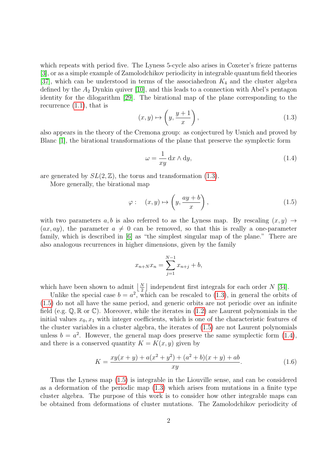which repeats with period five. The Lyness 5-cycle also arises in Coxeter's frieze patterns [3], or as a simple example of Zamolodchikov periodicity in integrable quantum field theories [37], which can be understood in terms of the associahedron  $K_4$  and the cluster algebra defined by the  $A_2$  Dynkin quiver [10], and this leads to a connection with Abel's pentagon identity for the dilogarithm [29]. The birational map of the plane corresponding to the recurrence  $(1.1)$ , that is

$$
(x, y) \mapsto \left(y, \frac{y+1}{x}\right),\tag{1.3}
$$

also appears in the theory of the Cremona group: as conjectured by Usnich and proved by Blanc [1], the birational transformations of the plane that preserve the symplectic form

$$
\omega = \frac{1}{xy} \, dx \wedge dy,\tag{1.4}
$$

are generated by  $SL(2, \mathbb{Z})$ , the torus and transformation (1.3).

More generally, the birational map

$$
\varphi: \quad (x, y) \mapsto \left(y, \frac{ay + b}{x}\right), \tag{1.5}
$$

with two parameters a, b is also referred to as the Lyness map. By rescaling  $(x, y) \rightarrow$  $(ax, ay)$ , the parameter  $a \neq 0$  can be removed, so that this is really a one-parameter family, which is described in [6] as "the simplest singular map of the plane." There are also analogous recurrences in higher dimensions, given by the family

$$
x_{n+N}x_n = \sum_{j=1}^{N-1} x_{n+j} + b,
$$

which have been shown to admit  $\lfloor \frac{N}{2} \rfloor$  independent first integrals for each order N [34].

Unlike the special case  $b = a^2$ , which can be rescaled to (1.3), in general the orbits of (1.5) do not all have the same period, and generic orbits are not periodic over an infinite field (e.g.  $\mathbb{Q}, \mathbb{R}$  or  $\mathbb{C}$ ). Moreover, while the iterates in (1.2) are Laurent polynomials in the initial values  $x_0, x_1$  with integer coefficients, which is one of the characteristic features of the cluster variables in a cluster algebra, the iterates of (1.5) are not Laurent polynomials unless  $b = a^2$ . However, the general map does preserve the same symplectic form (1.4), and there is a conserved quantity  $K = K(x, y)$  given by

$$
K = \frac{xy(x+y) + a(x^2 + y^2) + (a^2 + b)(x+y) + ab}{xy}.
$$
\n(1.6)

Thus the Lyness map (1.5) is integrable in the Liouville sense, and can be considered as a deformation of the periodic map (1.3) which arises from mutations in a finite type cluster algebra. The purpose of this work is to consider how other integrable maps can be obtained from deformations of cluster mutations. The Zamolodchikov periodicity of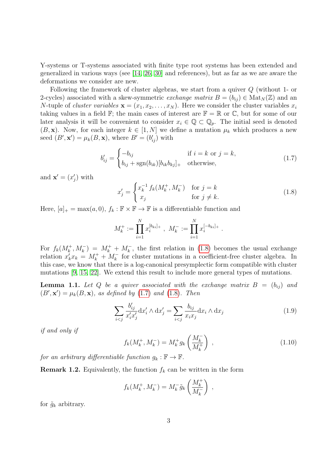Y-systems or T-systems associated with finite type root systems has been extended and generalized in various ways (see [14, 26, 30] and references), but as far as we are aware the deformations we consider are new.

Following the framework of cluster algebras, we start from a quiver Q (without 1- or 2-cycles) associated with a skew-symmetric exchange matrix  $B = (b_{ij}) \in Mat_N(\mathbb{Z})$  and an N-tuple of *cluster variables*  $\mathbf{x} = (x_1, x_2, \dots, x_N)$ . Here we consider the cluster variables  $x_i$ taking values in a field  $\mathbb{F}$ ; the main cases of interest are  $\mathbb{F} = \mathbb{R}$  or  $\mathbb{C}$ , but for some of our later analysis it will be convenient to consider  $x_i \in \mathbb{Q} \subset \mathbb{Q}_p$ . The initial seed is denoted  $(B, x)$ . Now, for each integer  $k \in [1, N]$  we define a mutation  $\mu_k$  which produces a new seed  $(B', \mathbf{x}') = \mu_k(B, \mathbf{x})$ , where  $B' = (b'_{ij})$  with

$$
b'_{ij} = \begin{cases} -b_{ij} & \text{if } i = k \text{ or } j = k, \\ b_{ij} + \text{sgn}(b_{ik})[b_{ik}b_{kj}]_+ & \text{otherwise,} \end{cases}
$$
(1.7)

and  $\mathbf{x}' = (x'_j)$  with

$$
x'_{j} = \begin{cases} x_{k}^{-1} f_{k}(M_{k}^{+}, M_{k}^{-}) & \text{for } j = k\\ x_{j} & \text{for } j \neq k. \end{cases}
$$
 (1.8)

Here,  $[a]_+ = \max(a, 0), f_k : \mathbb{F} \times \mathbb{F} \to \mathbb{F}$  is a differentiable function and

$$
M_k^+ := \prod_{i=1}^N x_i^{[b_{ki}]_+} , \ M_k^- := \prod_{i=1}^N x_i^{[-b_{ki}]_+} .
$$

For  $f_k(M_k^+, M_k^-) = M_k^+ + M_k^-$ , the first relation in (1.8) becomes the usual exchange relation  $x'_k x_k = M_k^+ + M_k^-$  for cluster mutations in a coefficient-free cluster algebra. In this case, we know that there is a log-canonical presymplectic form compatible with cluster mutations [9, 15, 22]. We extend this result to include more general types of mutations.

**Lemma 1.1.** Let Q be a quiver associated with the exchange matrix  $B = (b_{ij})$  and  $(B', \mathbf{x}') = \mu_k(B, \mathbf{x})$ , as defined by (1.7) and (1.8). Then

$$
\sum_{i < j} \frac{b'_{ij}}{x'_i x'_j} \, \mathrm{d}x'_i \wedge \mathrm{d}x'_j = \sum_{i < j} \frac{b_{ij}}{x_i x_j} \, \mathrm{d}x_i \wedge \mathrm{d}x_j \tag{1.9}
$$

if and only if

$$
f_k(M_k^+, M_k^-) = M_k^+ g_k \left(\frac{M_k^-}{M_k^+}\right) ,
$$
\n(1.10)

for an arbitrary differentiable function  $g_k : \mathbb{F} \to \mathbb{F}$ .

**Remark 1.2.** Equivalently, the function  $f_k$  can be written in the form

$$
f_k(M_k^+, M_k^-) = M_k^- \tilde{g}_k \left(\frac{M_k^+}{M_k^-}\right) ,
$$

for  $\tilde{g}_k$  arbitrary.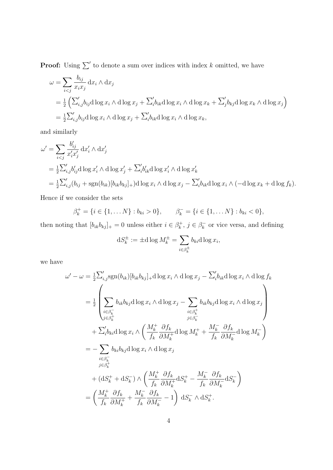**Proof:** Using  $\sum'$  to denote a sum over indices with index k omitted, we have

$$
\omega = \sum_{i < j} \frac{b_{ij}}{x_i x_j} \, \mathrm{d}x_i \wedge \mathrm{d}x_j
$$
\n
$$
= \frac{1}{2} \left( \sum_{i,j}' b_{ij} \mathrm{d} \log x_i \wedge \mathrm{d} \log x_j + \sum_{i}' b_{ik} \mathrm{d} \log x_i \wedge \mathrm{d} \log x_k + \sum_{j}' b_{kj} \mathrm{d} \log x_k \wedge \mathrm{d} \log x_j \right)
$$
\n
$$
= \frac{1}{2} \sum_{i,j}' b_{ij} \mathrm{d} \log x_i \wedge \mathrm{d} \log x_j + \sum_{i}' b_{ik} \mathrm{d} \log x_i \wedge \mathrm{d} \log x_k,
$$

and similarly

$$
\omega' = \sum_{i < j} \frac{b'_{ij}}{x'_i x'_j} \, dx'_i \wedge dx'_j
$$
\n
$$
= \frac{1}{2} \sum'_{i,j} b'_{ij} \, d \log x'_i \wedge d \log x'_j + \sum'_i b'_{ik} \, d \log x'_i \wedge d \log x'_k
$$
\n
$$
= \frac{1}{2} \sum'_{i,j} (b_{ij} + \text{sgn}(b_{ik}) [b_{ik} b_{kj}]_+) \, d \log x_i \wedge d \log x_j - \sum'_i b_{ik} \, d \log x_i \wedge (-d \log x_k + d \log f_k).
$$

Hence if we consider the sets

$$
\beta_k^+ = \{i \in \{1, \dots N\} : b_{ki} > 0\}, \qquad \beta_k^- = \{i \in \{1, \dots N\} : b_{ki} < 0\},\
$$

then noting that  $[b_{ik}b_{kj}]_+ = 0$  unless either  $i \in \beta_k^+$  $j_{k}^{+}, j \in \beta_{k}^{-}$  $\overline{k}_{k}$  or vice versa, and defining

$$
dS_k^{\pm} := \pm d \log M_k^{\pm} = \sum_{i \in \beta_k^{\pm}} b_{ki} d \log x_i,
$$

we have

$$
\omega' - \omega = \frac{1}{2} \sum_{i,j}^{\prime} \text{sgn}(b_{ik}) [b_{ik}b_{kj}]_+ \text{d} \log x_i \wedge \text{d} \log x_j - \sum_{i}^{\prime} b_{ik} \text{d} \log x_i \wedge \text{d} \log f_k
$$
  
\n
$$
= \frac{1}{2} \left( \sum_{\substack{i \in \beta_k^- \\ j \in \beta_k^+}} b_{ik} b_{kj} \text{d} \log x_i \wedge \text{d} \log x_j - \sum_{\substack{i \in \beta_k^+ \\ j \in \beta_k^-}} b_{ik} b_{kj} \text{d} \log x_i \wedge \text{d} \log x_j \right)
$$
  
\n
$$
+ \sum_{i}^{\prime} b_{ki} \text{d} \log x_i \wedge \left( \frac{M_k^+}{f_k} \frac{\partial f_k}{\partial M_k^+} \text{d} \log M_k^+ + \frac{M_k^-}{f_k} \frac{\partial f_k}{\partial M_k^-} \text{d} \log M_k^- \right)
$$
  
\n
$$
= - \sum_{\substack{i \in \beta_k^- \\ j \in \beta_k^+}} b_{ki} b_{kj} \text{d} \log x_i \wedge \text{d} \log x_j
$$
  
\n
$$
+ (\text{d}S_k^+ + \text{d}S_k^-) \wedge \left( \frac{M_k^+}{f_k} \frac{\partial f_k}{\partial M_k^+} \text{d}S_k^+ - \frac{M_k^-}{f_k} \frac{\partial f_k}{\partial M_k^-} \text{d}S_k^- \right)
$$
  
\n
$$
= \left( \frac{M_k^+}{f_k} \frac{\partial f_k}{\partial M_k^+} + \frac{M_k^-}{f_k} \frac{\partial f_k}{\partial M_k^-} - 1 \right) \text{d}S_k^- \wedge \text{d}S_k^+.
$$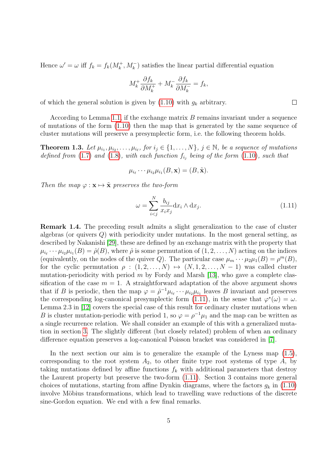Hence  $\omega' = \omega$  iff  $f_k = f_k(M_k^+, M_k^-)$  satisfies the linear partial differential equation

$$
M_k^+ \frac{\partial f_k}{\partial M_k^+} + M_k^- \frac{\partial f_k}{\partial M_k^-} = f_k,
$$

of which the general solution is given by  $(1.10)$  with  $q_k$  arbitrary.

According to Lemma 1.1, if the exchange matrix  $B$  remains invariant under a sequence of mutations of the form (1.10) then the map that is generated by the same sequence of cluster mutations will preserve a presymplectic form, i.e. the following theorem holds.

**Theorem 1.3.** Let  $\mu_{i_1}, \mu_{i_2}, \ldots, \mu_{i_\ell}$ , for  $i_j \in \{1, \ldots, N\}$ ,  $j \in \mathbb{N}$ , be a sequence of mutations defined from  $(1.7)$  and  $(1.8)$ , with each function  $f_{i_j}$  being of the form  $(1.10)$ , such that

$$
\mu_{i_{\ell}}\cdots\mu_{i_{2}}\mu_{i_{1}}(B,\mathbf{x})=(B,\tilde{\mathbf{x}}).
$$

Then the map  $\varphi : \mathbf{x} \mapsto \tilde{\mathbf{x}}$  preserves the two-form

$$
\omega = \sum_{i < j}^{N} \frac{b_{ij}}{x_i x_j} \mathrm{d} x_i \wedge \mathrm{d} x_j. \tag{1.11}
$$

 $\Box$ 

Remark 1.4. The preceding result admits a slight generalization to the case of cluster algebras (or quivers Q) with periodicity under mutations. In the most general setting, as described by Nakanishi [29], these are defined by an exchange matrix with the property that  $\mu_{i_{\ell}} \cdots \mu_{i_2} \mu_{i_1}(B) = \hat{\rho}(B)$ , where  $\hat{\rho}$  is some permutation of  $(1, 2, \ldots, N)$  acting on the indices (equivalently, on the nodes of the quiver Q). The particular case  $\mu_m \cdots \mu_2 \mu_1(B) = \rho^m(B)$ , for the cyclic permutation  $\rho : (1, 2, \ldots, N) \mapsto (N, 1, 2, \ldots, N - 1)$  was called cluster mutation-periodicity with period m by Fordy and Marsh [13], who gave a complete classification of the case  $m = 1$ . A straightforward adaptation of the above argument shows that if B is periodic, then the map  $\varphi = \hat{\rho}^{-1} \mu_{i_{\ell}} \cdots \mu_{i_2} \mu_{i_1}$  leaves B invariant and preserves the corresponding log-canonical presymplectic form (1.11), in the sense that  $\varphi^*(\omega) = \omega$ . Lemma 2.3 in [12] covers the special case of this result for ordinary cluster mutations when B is cluster mutation-periodic with period 1, so  $\varphi = \rho^{-1}\mu_1$  and the map can be written as a single recurrence relation. We shall consider an example of this with a generalized mutation in section 3. The slightly different (but closely related) problem of when an ordinary difference equation preserves a log-canonical Poisson bracket was considered in [7].

In the next section our aim is to generalize the example of the Lyness map (1.5), corresponding to the root system  $A_2$ , to other finite type root systems of type  $A$ , by taking mutations defined by affine functions  $f_k$  with additional parameters that destroy the Laurent property but preserve the two-form (1.11). Section 3 contains more general choices of mutations, starting from affine Dynkin diagrams, where the factors  $g_k$  in (1.10) involve Möbius transformations, which lead to travelling wave reductions of the discrete sine-Gordon equation. We end with a few final remarks.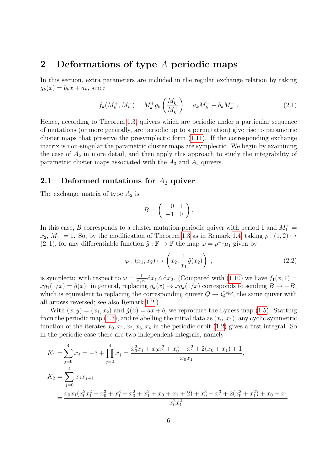## 2 Deformations of type A periodic maps

In this section, extra parameters are included in the regular exchange relation by taking  $g_k(x) = b_k x + a_k$ , since

$$
f_k(M_k^+, M_k^-) = M_k^+ g_k \left(\frac{M_k^-}{M_k^+}\right) = a_k M_k^+ + b_k M_k^- \tag{2.1}
$$

Hence, according to Theorem 1.3, quivers which are periodic under a particular sequence of mutations (or more generally, are periodic up to a permutation) give rise to parametric cluster maps that preserve the presymplectic form (1.11). If the corresponding exchange matrix is non-singular the parametric cluster maps are symplectic. We begin by examining the case of  $A_2$  in more detail, and then apply this approach to study the integrability of parametric cluster maps associated with the  $A_3$  and  $A_4$  quivers.

#### 2.1 Deformed mutations for  $A_2$  quiver

The exchange matrix of type  $A_2$  is

$$
B = \left( \begin{array}{cc} 0 & 1 \\ -1 & 0 \end{array} \right).
$$

In this case, B corresponds to a cluster mutation-periodic quiver with period 1 and  $M_1^+$  =  $x_2, M_1^- = 1$ . So, by the modification of Theorem 1.3 as in Remark 1.4, taking  $\rho : (1, 2) \mapsto$  $(2, 1)$ , for any differentiable function  $\tilde{g} : \mathbb{F} \to \mathbb{F}$  the map  $\varphi = \rho^{-1} \mu_1$  given by

$$
\varphi : (x_1, x_2) \mapsto \left(x_2, \frac{1}{x_1}\tilde{g}(x_2)\right) , \qquad (2.2)
$$

is symplectic with respect to  $\omega = \frac{1}{\pi}$  $\frac{1}{x_1x_2}dx_1\wedge dx_2$ . (Compared with (1.10) we have  $f_1(x, 1)$  =  $xg_1(1/x) = \tilde{g}(x)$ : in general, replacing  $g_k(x) \to xg_k(1/x)$  corresponds to sending  $B \to -B$ , which is equivalent to replacing the corresponding quiver  $Q \to Q^{opp}$ , the same quiver with all arrows reversed; see also Remark 1.2.)

With  $(x, y) = (x_1, x_2)$  and  $\tilde{g}(x) = ax + b$ , we reproduce the Lyness map (1.5). Starting from the periodic map (1.3), and relabelling the initial data as  $(x_0, x_1)$ , any cyclic symmetric function of the iterates  $x_0, x_1, x_2, x_3, x_4$  in the periodic orbit (1.2) gives a first integral. So in the periodic case there are two independent integrals, namely

$$
K_1 = \sum_{j=0}^4 x_j = -3 + \prod_{j=0}^4 x_j = \frac{x_0^2 x_1 + x_0 x_1^2 + x_0^2 + x_1^2 + 2(x_0 + x_1) + 1}{x_0 x_1},
$$
  
\n
$$
K_2 = \sum_{j=0}^4 x_j x_{j+1}
$$
  
\n
$$
= \frac{x_0 x_1 (x_0^2 x_1^2 + x_0^3 + x_1^3 + x_0^2 + x_1^2 + x_0 + x_1 + 2) + x_0^3 + x_1^3 + 2(x_0^2 + x_1^2) + x_0 + x_1}{x_0^2 x_1^2}.
$$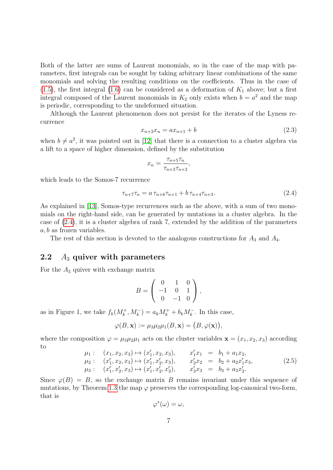Both of the latter are sums of Laurent monomials, so in the case of the map with parameters, first integrals can be sought by taking arbitrary linear combinations of the same monomials and solving the resulting conditions on the coefficients. Thus in the case of  $(1.5)$ , the first integral  $(1.6)$  can be considered as a deformation of  $K_1$  above; but a first integral composed of the Laurent monomials in  $K_2$  only exists when  $b = a^2$  and the map is periodic, corresponding to the undeformed situation.

Although the Laurent phenomenon does not persist for the iterates of the Lyness recurrence

$$
x_{n+2}x_n = ax_{n+1} + b \tag{2.3}
$$

when  $b \neq a^2$ , it was pointed out in [12] that there is a connection to a cluster algebra via a lift to a space of higher dimension, defined by the substitution

$$
x_n = \frac{\tau_{n+5}\tau_n}{\tau_{n+3}\tau_{n+2}},
$$

which leads to the Somos-7 recurrence

$$
\tau_{n+7}\tau_n = a\,\tau_{n+6}\tau_{n+1} + b\,\tau_{n+4}\tau_{n+3}.\tag{2.4}
$$

As explained in [13], Somos-type recurrences such as the above, with a sum of two monomials on the right-hand side, can be generated by mutations in a cluster algebra. In the case of (2.4), it is a cluster algebra of rank 7, extended by the addition of the parameters a, b as frozen variables.

The rest of this section is devoted to the analogous constructions for  $A_3$  and  $A_4$ .

#### 2.2  $A_3$  quiver with parameters

For the  $A_3$  quiver with exchange matrix

$$
B = \left( \begin{array}{rrr} 0 & 1 & 0 \\ -1 & 0 & 1 \\ 0 & -1 & 0 \end{array} \right),
$$

as in Figure 1, we take  $f_k(M_k^+, M_k^-) = a_k M_k^+ + b_k M_k^-$ . In this case,

$$
\varphi(B, \mathbf{x}) := \mu_3 \mu_2 \mu_1(B, \mathbf{x}) = (B, \varphi(\mathbf{x})),
$$

where the composition  $\varphi = \mu_3 \mu_2 \mu_1$  acts on the cluster variables  $\mathbf{x} = (x_1, x_2, x_3)$  according to

$$
\mu_1: (x_1, x_2, x_3) \mapsto (x'_1, x_2, x_3), \quad x'_1 x_1 = b_1 + a_1 x_2,\n\mu_2: (x'_1, x_2, x_3) \mapsto (x'_1, x'_2, x_3), \quad x'_2 x_2 = b_2 + a_2 x'_1 x_3,\n\mu_3: (x'_1, x'_2, x_3) \mapsto (x'_1, x'_2, x'_3), \quad x'_3 x_3 = b_3 + a_3 x'_2.
$$
\n(2.5)

Since  $\varphi(B) = B$ , so the exchange matrix B remains invariant under this sequence of mutations, by Theorem 1.3 the map  $\varphi$  preserves the corresponding log-canonical two-form, that is

$$
\varphi^*(\omega) = \omega,
$$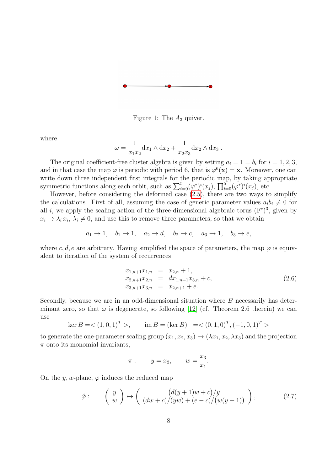

Figure 1: The  $A_3$  quiver.

where

$$
\omega = \frac{1}{x_1 x_2} \mathrm{d} x_1 \wedge \mathrm{d} x_2 + \frac{1}{x_2 x_3} \mathrm{d} x_2 \wedge \mathrm{d} x_3.
$$

The original coefficient-free cluster algebra is given by setting  $a_i = 1 = b_i$  for  $i = 1, 2, 3$ , and in that case the map  $\varphi$  is periodic with period 6, that is  $\varphi^6(\mathbf{x}) = \mathbf{x}$ . Moreover, one can write down three independent first integrals for the periodic map, by taking appropriate symmetric functions along each orbit, such as  $\sum_{i=0}^{5} (\varphi^*)^i(x_j)$ ,  $\prod_{i=0}^{5} (\varphi^*)^i(x_j)$ , etc.

However, before considering the deformed case (2.5), there are two ways to simplify the calculations. First of all, assuming the case of generic parameter values  $a_i b_i \neq 0$  for all i, we apply the scaling action of the three-dimensional algebraic torus  $(\mathbb{F}^*)^3$ , given by  $x_i \to \lambda_i x_i, \lambda_i \neq 0$ , and use this to remove three parameters, so that we obtain

$$
a_1 \rightarrow 1
$$
,  $b_1 \rightarrow 1$ ,  $a_2 \rightarrow d$ ,  $b_2 \rightarrow c$ ,  $a_3 \rightarrow 1$ ,  $b_3 \rightarrow e$ ,

where c, d, e are arbitrary. Having simplified the space of parameters, the map  $\varphi$  is equivalent to iteration of the system of recurrences

$$
x_{1,n+1}x_{1,n} = x_{2,n} + 1,
$$
  
\n
$$
x_{2,n+1}x_{2,n} = dx_{1,n+1}x_{3,n} + c,
$$
  
\n
$$
x_{3,n+1}x_{3,n} = x_{2,n+1} + e.
$$
\n(2.6)

Secondly, because we are in an odd-dimensional situation where  $B$  necessarily has determinant zero, so that  $\omega$  is degenerate, so following [12] (cf. Theorem 2.6 therein) we can use

$$
\ker B = \langle (1,0,1)^T \rangle, \qquad \text{im } B = (\ker B)^{\perp} = \langle (0,1,0)^T, (-1,0,1)^T \rangle
$$

to generate the one-parameter scaling group  $(x_1, x_2, x_3) \rightarrow (\lambda x_1, x_2, \lambda x_3)$  and the projection  $\pi$  onto its monomial invariants,

$$
\pi: \qquad y = x_2, \qquad w = \frac{x_3}{x_1}.
$$

On the y, w-plane,  $\varphi$  induces the reduced map

$$
\hat{\varphi} : \qquad \left( \begin{array}{c} y \\ w \end{array} \right) \mapsto \left( \begin{array}{c} (d(y+1)w+c)/y \\ (dw+c)/(yw)+(e-c)/(w(y+1)) \end{array} \right), \tag{2.7}
$$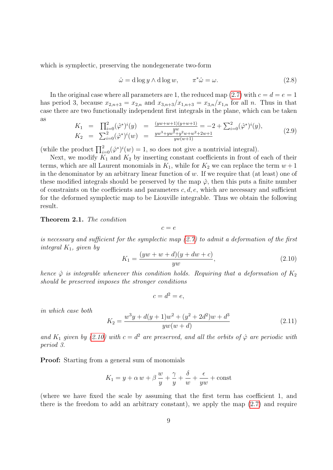which is symplectic, preserving the nondegenerate two-form

$$
\hat{\omega} = d \log y \wedge d \log w, \qquad \pi^* \hat{\omega} = \omega. \tag{2.8}
$$

In the original case where all parameters are 1, the reduced map (2.7) with  $c = d = e = 1$ has period 3, because  $x_{2,n+3} = x_{2,n}$  and  $x_{3,n+3}/x_{1,n+3} = x_{3,n}/x_{1,n}$  for all n. Thus in that case there are two functionally independent first integrals in the plane, which can be taken as

$$
K_1 = \prod_{i=0}^2 (\hat{\varphi}^*)^i(y) = \frac{(yw+w+1)(y+w+1)}{yw} = -2 + \sum_{i=0}^2 (\hat{\varphi}^*)^i(y),
$$
  
\n
$$
K_2 = \sum_{i=0}^2 (\hat{\varphi}^*)^i(w) = \frac{yw^3 + yw^2 + y^2w + w^2 + 2w + 1}{yw(w+1)}
$$
\n(2.9)

(while the product  $\prod_{i=0}^{2} (\hat{\varphi}^*)^i(w) = 1$ , so does not give a nontrivial integral).

Next, we modify  $K_1$  and  $K_2$  by inserting constant coefficients in front of each of their terms, which are all Laurent monomials in  $K_1$ , while for  $K_2$  we can replace the term  $w + 1$ in the denominator by an arbitrary linear function of  $w$ . If we require that (at least) one of these modified integrals should be preserved by the map  $\hat{\varphi}$ , then this puts a finite number of constraints on the coefficients and parameters  $c, d, e$ , which are necessary and sufficient for the deformed symplectic map to be Liouville integrable. Thus we obtain the following result.

Theorem 2.1. The condition

 $c = e$ 

is necessary and sufficient for the symplectic map  $(2.7)$  to admit a deformation of the first integral  $K_1$ , given by

$$
K_1 = \frac{(yw+w+d)(y+dw+c)}{yw},
$$
\n(2.10)

hence  $\hat{\varphi}$  is integrable whenever this condition holds. Requiring that a deformation of  $K_2$ should be preserved imposes the stronger conditions

$$
c = d^2 = e,
$$

in which case both

$$
K_2 = \frac{w^3y + d(y+1)w^2 + (y^2+2d^2)w + d^3}{yw(w+d)}
$$
\n(2.11)

and  $K_1$  given by (2.10) with  $c = d^2$  are preserved, and all the orbits of  $\hat{\varphi}$  are periodic with period 3.

Proof: Starting from a general sum of monomials

$$
K_1 = y + \alpha w + \beta \frac{w}{y} + \frac{\gamma}{y} + \frac{\delta}{w} + \frac{\epsilon}{yw} + const
$$

(where we have fixed the scale by assuming that the first term has coefficient 1, and there is the freedom to add an arbitrary constant), we apply the map  $(2.7)$  and require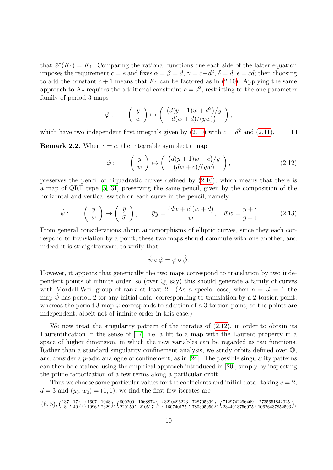that  $\hat{\varphi}^*(K_1) = K_1$ . Comparing the rational functions one each side of the latter equation imposes the requirement  $c = e$  and fixes  $\alpha = \beta = d$ ,  $\gamma = c + d^2$ ,  $\delta = d$ ,  $\epsilon = cd$ ; then choosing to add the constant  $c + 1$  means that  $K_1$  can be factored as in (2.10). Applying the same approach to  $K_2$  requires the additional constraint  $c = d^2$ , restricting to the one-parameter family of period 3 maps

$$
\hat{\varphi} : \qquad \left( \begin{array}{c} y \\ w \end{array} \right) \mapsto \left( \begin{array}{c} \left( d(y+1)w + d^2 \right) / y \\ d(w+d)/(yw) \end{array} \right),
$$

which have two independent first integrals given by  $(2.10)$  with  $c = d^2$  and  $(2.11)$ .  $\Box$ 

**Remark 2.2.** When  $c = e$ , the integrable symplectic map

$$
\hat{\varphi} : \qquad \left( \begin{array}{c} y \\ w \end{array} \right) \mapsto \left( \begin{array}{c} (d(y+1)w+c)/y \\ (dw+c)/(yw) \end{array} \right), \tag{2.12}
$$

preserves the pencil of biquadratic curves defined by (2.10), which means that there is a map of QRT type [5, 31] preserving the same pencil, given by the composition of the horizontal and vertical switch on each curve in the pencil, namely

$$
\hat{\psi}: \qquad \left(\begin{array}{c} y \\ w \end{array}\right) \mapsto \left(\begin{array}{c} \bar{y} \\ \bar{w} \end{array}\right), \qquad \bar{y}y = \frac{(dw+c)(w+d)}{w}, \quad \bar{w}w = \frac{\bar{y}+c}{\bar{y}+1}.
$$
 (2.13)

From general considerations about automorphisms of elliptic curves, since they each correspond to translation by a point, these two maps should commute with one another, and indeed it is straightforward to verify that

$$
\hat{\psi} \circ \hat{\varphi} = \hat{\varphi} \circ \hat{\psi}.
$$

However, it appears that generically the two maps correspond to translation by two independent points of infinite order, so (over  $\mathbb{Q}$ , say) this should generate a family of curves with Mordell-Weil group of rank at least 2. (As a special case, when  $c = d = 1$  the map  $\psi$  has period 2 for any initial data, corresponding to translation by a 2-torsion point, whereas the period 3 map  $\hat{\varphi}$  corresponds to addition of a 3-torsion point; so the points are independent, albeit not of infinite order in this case.)

We now treat the singularity pattern of the iterates of (2.12), in order to obtain its Laurentification in the sense of [17], i.e. a lift to a map with the Laurent property in a space of higher dimension, in which the new variables can be regarded as tau functions. Rather than a standard singularity confinement analysis, we study orbits defined over  $\mathbb{Q}$ . and consider a *p*-adic analogue of confinement, as in [24]. The possible singularity patterns can then be obtained using the empirical approach introduced in [20], simply by inspecting the prime factorization of a few terms along a particular orbit.

Thus we choose some particular values for the coefficients and initial data: taking  $c = 2$ ,  $d = 3$  and  $(y_0, w_0) = (1, 1)$ , we find the first few iterates are

$$
(8,5),(\tfrac{137}{8},\tfrac{17}{40}),(\tfrac{1607}{1096},\tfrac{1048}{2329}),(\tfrac{800200}{220159},\tfrac{1068874}{210517}),(\tfrac{3210496223}{160740175},\tfrac{728705399}{780395050}),(\tfrac{7129742296469}{2344013756975},\tfrac{2735651842025}{10626437852503}),
$$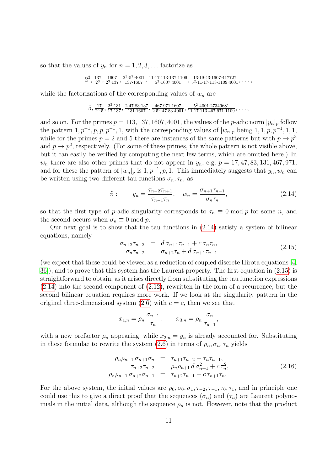so that the values of  $y_n$  for  $n = 1, 2, 3, \ldots$  factorize as

$$
2^3
$$
,  $\frac{137}{2^3}$ ,  $\frac{1607}{2^3 \cdot 137}$ ,  $\frac{2^3 \cdot 5^2 \cdot 4001}{137 \cdot 1607}$ ,  $\frac{11 \cdot 17 \cdot 113 \cdot 137 \cdot 1109}{5^2 \cdot 1607 \cdot 4001}$ ,  $\frac{13 \cdot 19 \cdot 43 \cdot 1607 \cdot 417727}{5^2 \cdot 11 \cdot 17 \cdot 113 \cdot 1109 \cdot 4001}$ ,  $\dots$ 

while the factorizations of the corresponding values of  $w_n$  are

$$
5, \frac{17}{2^3 \cdot 5}, \frac{2^3 \cdot 131}{17 \cdot 137}, \frac{2 \cdot 47 \cdot 83 \cdot 137}{131 \cdot 1607}, \frac{467 \cdot 971 \cdot 1607}{2 \cdot 5^2 \cdot 47 \cdot 83 \cdot 4001}, \frac{5^2 \cdot 4001 \cdot 27349681}{11 \cdot 17 \cdot 113 \cdot 467 \cdot 971 \cdot 1109}, \dots
$$

and so on. For the primes  $p = 113, 137, 1607, 4001$ , the values of the p-adic norm  $|y_n|_p$  follow the pattern  $1, p^{-1}, p, p, p^{-1}, 1$ , with the corresponding values of  $|w_n|_p$  being  $1, 1, p, p^{-1}, 1, 1$ , while for the primes  $p = 2$  and 5 there are instances of the same patterns but with  $p \to p^3$ and  $p \to p^2$ , respectively. (For some of these primes, the whole pattern is not visible above, but it can easily be verified by computing the next few terms, which are omitted here.) In  $w_n$  there are also other primes that do not appear in  $y_n$ , e.g.  $p = 17, 47, 83, 131, 467, 971$ , and for these the pattern of  $|w_n|_p$  is 1,  $p^{-1}$ , p, 1. This immediately suggests that  $y_n$ ,  $w_n$  can be written using two different tau functions  $\sigma_n, \tau_n$ , as

$$
\tilde{\pi}: \qquad y_n = \frac{\tau_{n-2}\tau_{n+1}}{\tau_{n-1}\tau_n}, \quad w_n = \frac{\sigma_{n+1}\tau_{n-1}}{\sigma_n\tau_n}, \tag{2.14}
$$

so that the first type of p-adic singularity corresponds to  $\tau_n \equiv 0 \mod p$  for some n, and the second occurs when  $\sigma_n \equiv 0 \mod p$ .

Our next goal is to show that the tau functions in (2.14) satisfy a system of bilinear equations, namely

$$
\begin{array}{rcl}\n\sigma_{n+2}\tau_{n-2} & = & d\,\sigma_{n+1}\tau_{n-1} + c\,\sigma_n\tau_n, \\
\sigma_n\tau_{n+2} & = & \sigma_{n+2}\tau_n + d\,\sigma_{n+1}\tau_{n+1}\n\end{array}\n\tag{2.15}
$$

(we expect that these could be viewed as a reduction of coupled discrete Hirota equations [4, 36]), and to prove that this system has the Laurent property. The first equation in (2.15) is straightforward to obtain, as it arises directly from substituting the tau function expressions (2.14) into the second component of (2.12), rewritten in the form of a recurrence, but the second bilinear equation requires more work. If we look at the singularity pattern in the original three-dimensional system  $(2.6)$  with  $e = c$ , then we see that

$$
x_{1,n} = \rho_n \, \frac{\sigma_{n+1}}{\tau_n}, \qquad x_{3,n} = \rho_n \, \frac{\sigma_n}{\tau_{n-1}},
$$

with a new prefactor  $\rho_n$  appearing, while  $x_{2,n} = y_n$  is already accounted for. Substituting in these formulae to rewrite the system (2.6) in terms of  $\rho_n, \sigma_n, \tau_n$  yields

$$
\rho_n \rho_{n+1} \sigma_{n+1} \sigma_n = \tau_{n+1} \tau_{n-2} + \tau_n \tau_{n-1},
$$
  
\n
$$
\tau_{n+2} \tau_{n-2} = \rho_n \rho_{n+1} d \sigma_{n+1}^2 + c \tau_n^2,
$$
  
\n
$$
\rho_n \rho_{n+1} \sigma_{n+2} \sigma_{n+1} = \tau_{n+2} \tau_{n-1} + c \tau_{n+1} \tau_n.
$$
\n(2.16)

For the above system, the initial values are  $\rho_0$ ,  $\sigma_0$ ,  $\sigma_1$ ,  $\tau_{-2}$ ,  $\tau_{-1}$ ,  $\tau_0$ ,  $\tau_1$ , and in principle one could use this to give a direct proof that the sequences  $(\sigma_n)$  and  $(\tau_n)$  are Laurent polynomials in the initial data, although the sequence  $\rho_n$  is not. However, note that the product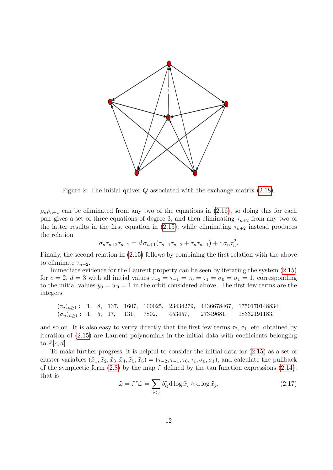

Figure 2: The initial quiver  $Q$  associated with the exchange matrix  $(2.18)$ .

 $\rho_n \rho_{n+1}$  can be eliminated from any two of the equations in (2.16), so doing this for each pair gives a set of three equations of degree 3, and then eliminating  $\tau_{n+2}$  from any two of the latter results in the first equation in (2.15), while eliminating  $\tau_{n+2}$  instead produces the relation

$$
\sigma_n \tau_{n+2} \tau_{n-2} = d \sigma_{n+1} (\tau_{n+1} \tau_{n-2} + \tau_n \tau_{n-1}) + c \sigma_n \tau_n^2.
$$

Finally, the second relation in (2.15) follows by combining the first relation with the above to eliminate  $\tau_{n-2}$ .

Immediate evidence for the Laurent property can be seen by iterating the system (2.15) for  $c = 2$ ,  $d = 3$  with all initial values  $\tau_{-2} = \tau_{-1} = \tau_0 = \tau_1 = \sigma_0 = \sigma_1 = 1$ , corresponding to the initial values  $y_0 = w_0 = 1$  in the orbit considered above. The first few terms are the integers

 $(\tau_n)_{n\geq 1}$ : 1, 8, 137, 1607, 100025, 23434279, 4436678467, 1750170148834,  $(\sigma_n)_{n\geq 1}$ : 1, 5, 17, 131, 7802, 453457, 27349681, 18332191183,

and so on. It is also easy to verify directly that the first few terms  $\tau_2, \sigma_1$ , etc. obtained by iteration of (2.15) are Laurent polynomials in the initial data with coefficients belonging to  $\mathbb{Z}[c,d].$ 

To make further progress, it is helpful to consider the initial data for (2.15) as a set of cluster variables  $(\tilde{x}_1, \tilde{x}_2, \tilde{x}_3, \tilde{x}_4, \tilde{x}_5, \tilde{x}_6) = (\tau_{-2}, \tau_{-1}, \tau_0, \tau_1, \sigma_0, \sigma_1)$ , and calculate the pullback of the symplectic form (2.8) by the map  $\tilde{\pi}$  defined by the tau function expressions (2.14), that is

$$
\tilde{\omega} = \tilde{\pi}^* \hat{\omega} = \sum_{i < j} b_{ij}^* \operatorname{d} \log \tilde{x}_i \wedge \operatorname{d} \log \tilde{x}_j,\tag{2.17}
$$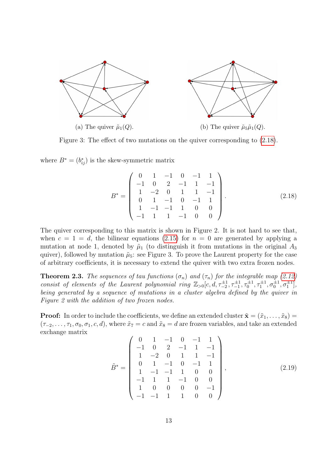

Figure 3: The effect of two mutations on the quiver corresponding to (2.18).

where  $B^* = (b_{ij}^*)$  is the skew-symmetric matrix

$$
B^* = \begin{pmatrix} 0 & 1 & -1 & 0 & -1 & 1 \\ -1 & 0 & 2 & -1 & 1 & -1 \\ 1 & -2 & 0 & 1 & 1 & -1 \\ 0 & 1 & -1 & 0 & -1 & 1 \\ 1 & -1 & -1 & 1 & 0 & 0 \\ -1 & 1 & 1 & -1 & 0 & 0 \end{pmatrix}.
$$
 (2.18)

The quiver corresponding to this matrix is shown in Figure 2. It is not hard to see that, when  $c = 1 = d$ , the bilinear equations (2.15) for  $n = 0$  are generated by applying a mutation at node 1, denoted by  $\tilde{\mu}_1$  (to distinguish it from mutations in the original  $A_3$ quiver), followed by mutation  $\tilde{\mu}_5$ : see Figure 3. To prove the Laurent property for the case of arbitrary coefficients, it is necessary to extend the quiver with two extra frozen nodes.

**Theorem 2.3.** The sequences of tau functions  $(\sigma_n)$  and  $(\tau_n)$  for the integrable map (2.12) consist of elements of the Laurent polynomial ring  $\mathbb{Z}_{>0}[c, d, \tau_{-2}^{\pm 1}, \tau_{-1}^{\pm 1}, \tau_0^{\pm 1}, \sigma_0^{\pm 1}, \sigma_1^{\pm 1}],$ being generated by a sequence of mutations in a cluster algebra defined by the quiver in Figure 2 with the addition of two frozen nodes.

**Proof:** In order to include the coefficients, we define an extended cluster  $\tilde{\mathbf{x}} = (\tilde{x}_1, \ldots, \tilde{x}_8) =$  $(\tau_{-2}, \ldots, \tau_1, \sigma_0, \sigma_1, c, d)$ , where  $\tilde{x}_7 = c$  and  $\tilde{x}_8 = d$  are frozen variables, and take an extended exchange matrix

$$
\tilde{B}^* = \begin{pmatrix}\n0 & 1 & -1 & 0 & -1 & 1 \\
-1 & 0 & 2 & -1 & 1 & -1 \\
1 & -2 & 0 & 1 & 1 & -1 \\
0 & 1 & -1 & 0 & -1 & 1 \\
1 & -1 & -1 & 1 & 0 & 0 \\
-1 & 1 & 1 & -1 & 0 & 0 \\
1 & 0 & 0 & 0 & -1 \\
-1 & -1 & 1 & 1 & 0 & 0\n\end{pmatrix},
$$
\n(2.19)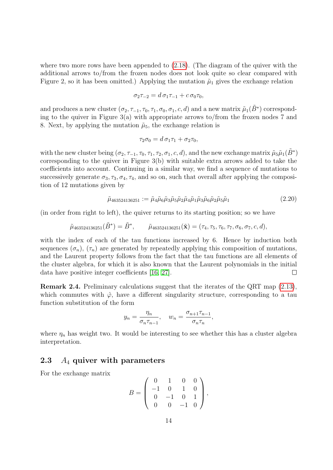where two more rows have been appended to  $(2.18)$ . (The diagram of the quiver with the additional arrows to/from the frozen nodes does not look quite so clear compared with Figure 2, so it has been omitted.) Applying the mutation  $\tilde{\mu}_1$  gives the exchange relation

$$
\sigma_2 \tau_{-2} = d \sigma_1 \tau_{-1} + c \sigma_0 \tau_0,
$$

and produces a new cluster  $(\sigma_2, \tau_{-1}, \tau_0, \tau_1, \sigma_0, \sigma_1, c, d)$  and a new matrix  $\tilde{\mu}_1(\tilde{B}^*)$  corresponding to the quiver in Figure 3(a) with appropriate arrows to/from the frozen nodes 7 and 8. Next, by applying the mutation  $\tilde{\mu}_5$ , the exchange relation is

$$
\tau_2 \sigma_0 = d \sigma_1 \tau_1 + \sigma_2 \tau_0,
$$

with the new cluster being  $(\sigma_2, \tau_{-1}, \tau_0, \tau_1, \tau_2, \sigma_1, c, d)$ , and the new exchange matrix  $\tilde{\mu}_5 \tilde{\mu}_1(\tilde{B}^*)$ corresponding to the quiver in Figure 3(b) with suitable extra arrows added to take the coefficients into account. Continuing in a similar way, we find a sequence of mutations to successively generate  $\sigma_3$ ,  $\tau_3$ ,  $\sigma_4$ ,  $\tau_4$ , and so on, such that overall after applying the composition of 12 mutations given by

$$
\tilde{\mu}_{463524136251} := \tilde{\mu}_4 \tilde{\mu}_6 \tilde{\mu}_3 \tilde{\mu}_5 \tilde{\mu}_2 \tilde{\mu}_4 \tilde{\mu}_1 \tilde{\mu}_3 \tilde{\mu}_6 \tilde{\mu}_2 \tilde{\mu}_5 \tilde{\mu}_1 \tag{2.20}
$$

(in order from right to left), the quiver returns to its starting position; so we have

$$
\tilde{\mu}_{463524136251}(\tilde{B}^*) = \tilde{B}^*, \qquad \tilde{\mu}_{463524136251}(\tilde{\mathbf{x}}) = (\tau_4, \tau_5, \tau_6, \tau_7, \sigma_6, \sigma_7, c, d),
$$

with the index of each of the tau functions increased by 6. Hence by induction both sequences  $(\sigma_n)$ ,  $(\tau_n)$  are generated by repeatedly applying this composition of mutations, and the Laurent property follows from the fact that the tau functions are all elements of the cluster algebra, for which it is also known that the Laurent polynomials in the initial data have positive integer coefficients [16, 27].  $\Box$ 

Remark 2.4. Preliminary calculations suggest that the iterates of the QRT map (2.13), which commutes with  $\hat{\varphi}$ , have a different singularity structure, corresponding to a tau function substitution of the form

$$
y_n = \frac{\eta_n}{\sigma_n \tau_{n-1}}, \quad w_n = \frac{\sigma_{n+1} \tau_{n-1}}{\sigma_n \tau_n},
$$

where  $\eta_n$  has weight two. It would be interesting to see whether this has a cluster algebra interpretation.

#### 2.3  $A_4$  quiver with parameters

For the exchange matrix

$$
B = \left(\begin{array}{rrrr} 0 & 1 & 0 & 0 \\ -1 & 0 & 1 & 0 \\ 0 & -1 & 0 & 1 \\ 0 & 0 & -1 & 0 \end{array}\right),
$$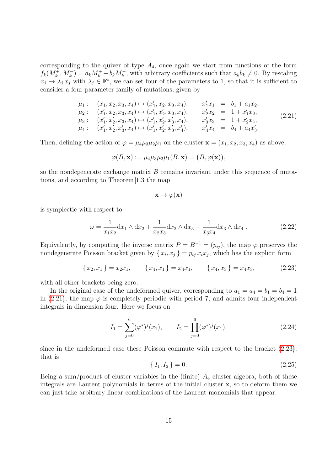corresponding to the quiver of type  $A_4$ , once again we start from functions of the form  $f_k(M_k^+, M_k^-) = a_k M_k^+ + b_k M_k^-$ , with arbitrary coefficients such that  $a_k b_k \neq 0$ . By rescaling  $x_j \to \lambda_j x_j$  with  $\lambda_j \in \mathbb{F}^*$ , we can set four of the parameters to 1, so that it is sufficient to consider a four-parameter family of mutations, given by

$$
\mu_1: (x_1, x_2, x_3, x_4) \mapsto (x'_1, x_2, x_3, x_4), \quad x'_1 x_1 = b_1 + a_1 x_2, \n\mu_2: (x'_1, x_2, x_3, x_4) \mapsto (x'_1, x'_2, x_3, x_4), \quad x'_2 x_2 = 1 + x'_1 x_3, \n\mu_3: (x'_1, x'_2, x_3, x_4) \mapsto (x'_1, x'_2, x'_3, x_4), \quad x'_3 x_3 = 1 + x'_2 x_4, \n\mu_4: (x'_1, x'_2, x'_3, x_4) \mapsto (x'_1, x'_2, x'_3, x'_4), \quad x'_4 x_4 = b_4 + a_4 x'_3.
$$
\n(2.21)

Then, defining the action of  $\varphi = \mu_4 \mu_3 \mu_2 \mu_1$  on the cluster  $\mathbf{x} = (x_1, x_2, x_3, x_4)$  as above,

$$
\varphi(B, \mathbf{x}) := \mu_4 \mu_3 \mu_2 \mu_1(B, \mathbf{x}) = (B, \varphi(\mathbf{x})),
$$

so the nondegenerate exchange matrix  $B$  remains invariant under this sequence of mutations, and according to Theorem 1.3 the map

$$
\mathbf{x} \mapsto \varphi(\mathbf{x})
$$

is symplectic with respect to

$$
\omega = \frac{1}{x_1 x_2} dx_1 \wedge dx_2 + \frac{1}{x_2 x_3} dx_2 \wedge dx_3 + \frac{1}{x_3 x_4} dx_3 \wedge dx_4.
$$
 (2.22)

Equivalently, by computing the inverse matrix  $P = B^{-1} = (p_{ij})$ , the map  $\varphi$  preserves the nondegenerate Poisson bracket given by  $\{x_i, x_j\} = p_{ij} x_i x_j$ , which has the explicit form

$$
\{x_2, x_1\} = x_2 x_1, \qquad \{x_4, x_1\} = x_4 x_1, \qquad \{x_4, x_3\} = x_4 x_3, \tag{2.23}
$$

with all other brackets being zero.

In the original case of the undeformed quiver, corresponding to  $a_1 = a_4 = b_1 = b_4 = 1$ in (2.21), the map  $\varphi$  is completely periodic with period 7, and admits four independent integrals in dimension four. Here we focus on

$$
I_1 = \sum_{j=0}^{6} (\varphi^*)^j(x_1), \qquad I_2 = \prod_{j=0}^{6} (\varphi^*)^j(x_1), \tag{2.24}
$$

since in the undeformed case these Poisson commute with respect to the bracket (2.23), that is

$$
\{I_1, I_2\} = 0.\t(2.25)
$$

Being a sum/product of cluster variables in the (finite)  $A_4$  cluster algebra, both of these integrals are Laurent polynomials in terms of the initial cluster x, so to deform them we can just take arbitrary linear combinations of the Laurent monomials that appear.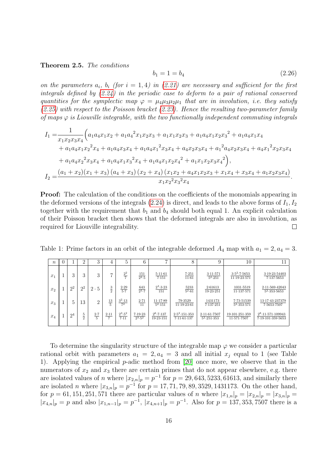#### Theorem 2.5. The conditions

$$
b_1 = 1 = b_4 \tag{2.26}
$$

on the parameters  $a_i$ ,  $b_i$  (for  $i = 1, 4$ ) in (2.21) are necessary and sufficient for the first integrals defined by (2.24) in the periodic case to deform to a pair of rational conserved quantities for the symplectic map  $\varphi = \mu_A \mu_A \mu_B \mu_I$  that are in involution, i.e. they satisfy  $(2.25)$  with respect to the Poisson bracket  $(2.23)$ . Hence the resulting two-parameter family of maps  $\varphi$  is Liouville integrable, with the two functionally independent commuting integrals

$$
I_{1} = \frac{1}{x_{1}x_{2}x_{3}x_{4}} \Big( a_{1}a_{4}x_{1}x_{2} + a_{1}a_{4}^{2}x_{1}x_{2}x_{3} + a_{1}x_{1}x_{2}x_{3} + a_{1}a_{4}x_{1}x_{2}x_{3}^{2} + a_{1}a_{4}x_{1}x_{4} + a_{1}a_{4}x_{1}x_{2}^{2}x_{4} + a_{1}a_{4}x_{3}x_{4} + a_{1}a_{4}x_{1}^{2}x_{3}x_{4} + a_{4}x_{2}x_{3}x_{4} + a_{1}^{2}a_{4}x_{2}x_{3}x_{4} + a_{4}x_{1}^{2}x_{2}x_{3}x_{4} + a_{1}a_{4}x_{2}^{2}x_{3}x_{4} + a_{1}a_{4}x_{1}x_{3}^{2}x_{4} + a_{1}a_{4}x_{1}x_{2}x_{4}^{2} + a_{1}x_{1}x_{2}x_{3}x_{4}^{2} \Big),
$$
  
\n
$$
I_{2} = \frac{(a_{1} + x_{2})(x_{1} + x_{3})(a_{4} + x_{3})(x_{2} + x_{4})(x_{1}x_{2} + a_{4}x_{1}x_{2}x_{3} + x_{1}x_{4} + x_{3}x_{4} + a_{1}x_{2}x_{3}x_{4})}{x_{1}x_{2}^{2}x_{3}^{2}x_{4}}.
$$

Proof: The calculation of the conditions on the coefficients of the monomials appearing in the deformed versions of the integrals  $(2.24)$  is direct, and leads to the above forms of  $I_1, I_2$ together with the requirement that  $b_1$  and  $b_4$  should both equal 1. An explicit calculation of their Poisson bracket then shows that the deformed integrals are also in involution, as required for Liouville integrability.  $\Box$ 

Table 1: Prime factors in an orbit of the integrable deformed  $A_4$  map with  $a_1 = 2, a_4 = 3$ .

| $\boldsymbol{n}$ |                | റ             | $\Omega$<br>٠í  | 4              | 5                                  | 6                         | $\overline{ }$                       | 8                              | 9                                         | 10                                      |                                                            |
|------------------|----------------|---------------|-----------------|----------------|------------------------------------|---------------------------|--------------------------------------|--------------------------------|-------------------------------------------|-----------------------------------------|------------------------------------------------------------|
| $x_1$            | 3              | 3             | 3               |                | $\frac{2^2}{7}$                    | $\frac{151}{2^2 \cdot 5}$ | 5.11.61<br>7.151                     | 7.251<br>11.61                 | 3.11.571<br>52.251                        | $3.5^2 \cdot 7.5653$<br>11.19.23.571    | 3.19.23.54403<br>7.137.5653                                |
| $x_2$            | 2 <sup>2</sup> | $2^2$         | $2 \cdot 5$     | $\frac{3}{2}$  | $\frac{2.29}{5.7}$                 | $\frac{643}{2^3 \cdot 7}$ | $2^3 \cdot 3 \cdot 23$<br>151        | $\frac{5233}{5^2\cdot 61}$     | 2.61613<br>19.23.251                      | 1031-5519<br>11.137.571                 | 2.11.569.42043<br>$\overline{5^2 \cdot 353 \cdot 5653}$    |
| $x_3$            | 5              | 13            | റ               | $\frac{13}{5}$ | $\frac{3^2 \cdot 13}{7^2}$         | $\frac{2 \cdot 71}{11}$   | 11.17.89<br>$5^2 \cdot 151$          | 79.3529<br>11.19.23.61         | 1431173<br>7.137.251                      | 7.73.51539<br>$5^2 \cdot 353 \cdot 571$ | 13.17.43.237379<br>7.5653.7507                             |
| $x_4$            | 2 <sup>4</sup> | $\frac{5}{2}$ | $\frac{2.7}{5}$ | $2 - 11$       | $\frac{2^3 \cdot 5^2}{7 \cdot 11}$ | 7.19.23<br>$2^{3.52}$     | $2^6 \cdot 7 \cdot 137$<br>19.23.151 | $2.5^2.151.353$<br>7.11.61.137 | 2.11.61.7507<br>$5^2 \cdot 251 \cdot 353$ | 19-101-251-359<br>11.571.7507           | $2^8 \cdot 11 \cdot 571 \cdot 109943$<br>7.19.101.359.5653 |

To determine the singularity structure of the integrable map  $\varphi$  we consider a particular rational orbit with parameters  $a_1 = 2, a_4 = 3$  and all initial  $x_i$  equal to 1 (see Table 1). Applying the empirical p-adic method from [20] once more, we observe that in the numerators of  $x_2$  and  $x_3$  there are certain primes that do not appear elsewhere, e.g. there are isolated values of *n* where  $|x_{2,n}|_p = p^{-1}$  for  $p = 29,643,5233,61613$ , and similarly there are isolated *n* where  $|x_{3,n}|_p = p^{-1}$  for  $p = 17, 71, 79, 89, 3529, 1431173$ . On the other hand, for  $p = 61, 151, 251, 571$  there are particular values of n where  $|x_{1,n}|_p = |x_{2,n}|_p = |x_{3,n}|_p =$  $|x_{4,n}|_p = p$  and also  $|x_{1,n-1}|_p = p^{-1}$ ,  $|x_{4,n+1}|_p = p^{-1}$ . Also for  $p = 137, 353, 7507$  there is a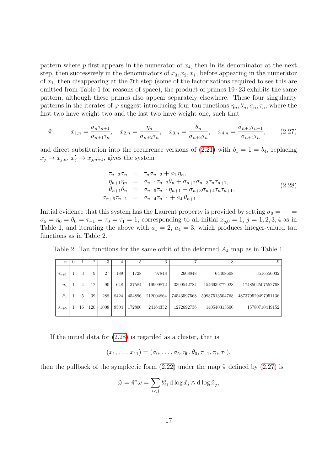pattern where  $p$  first appears in the numerator of  $x_4$ , then in its denominator at the next step, then successively in the denominators of  $x_3, x_2, x_1$ , before appearing in the numerator of  $x_1$ , then disappearing at the 7<sup>th</sup> step (some of the factorizations required to see this are omitted from Table 1 for reasons of space); the product of primes  $19 \cdot 23$  exhibits the same pattern, although these primes also appear separately elsewhere. These four singularity patterns in the iterates of  $\varphi$  suggest introducing four tau functions  $\eta_n, \theta_n, \sigma_n, \tau_n$ , where the first two have weight two and the last two have weight one, such that

$$
\tilde{\pi}: \qquad x_{1,n} = \frac{\sigma_n \tau_{n+1}}{\sigma_{n+1} \tau_n}, \quad x_{2,n} = \frac{\eta_n}{\sigma_{n+2} \tau_n}, \quad x_{3,n} = \frac{\theta_n}{\sigma_{n+3} \tau_n}, \quad x_{4,n} = \frac{\sigma_{n+5} \tau_{n-1}}{\sigma_{n+4} \tau_n}, \tag{2.27}
$$

and direct substitution into the recurrence versions of  $(2.21)$  with  $b_1 = 1 = b_4$ , replacing  $x_j \to x_{j,n}, x'_j \to x_{j,n+1}$ , gives the system

$$
\tau_{n+2}\sigma_n = \tau_n \sigma_{n+2} + a_1 \eta_n, \n\eta_{n+1}\eta_n = \sigma_{n+1}\tau_{n+2}\theta_n + \sigma_{n+2}\sigma_{n+3}\tau_n\tau_{n+1}, \n\theta_{n+1}\theta_n = \sigma_{n+5}\tau_{n-1}\eta_{n+1} + \sigma_{n+3}\sigma_{n+4}\tau_n\tau_{n+1}, \n\sigma_{n+6}\tau_{n-1} = \sigma_{n+4}\tau_{n+1} + a_4 \theta_{n+1}.
$$
\n(2.28)

Initial evidence that this system has the Laurent property is provided by setting  $\sigma_0 = \cdots =$  $\sigma_5 = \eta_0 = \theta_0 = \tau_{-1} = \tau_0 = \tau_1 = 1$ , corresponding to all initial  $x_{i,0} = 1$ ,  $j = 1, 2, 3, 4$  as in Table 1, and iterating the above with  $a_1 = 2$ ,  $a_4 = 3$ , which produces integer-valued tau functions as in Table 2.

Table 2: Tau functions for the same orbit of the deformed  $A_4$  map as in Table 1.

| $\boldsymbol{n}$ | $\left( \right)$ |    |     |      |      | 5      |           | $\overline{ }$ |                |                    |
|------------------|------------------|----|-----|------|------|--------|-----------|----------------|----------------|--------------------|
| $\tau_{n+1}$     |                  | 3  |     | 27   | 189  | 1728   | 97848     | 2608848        | 64408608       | 3516556032         |
| $\eta_n$         |                  |    | 12  | 90   | 648  | 37584  | 19999872  | 3399542784     | 1546939772928  | 1748502507552768   |
| $\theta_n$       |                  | 5. | 39  | 288  | 8424 | 454896 | 212004864 | 74543597568    | 59937513504768 | 487379529497051136 |
| $\sigma_{n+5}$   |                  | 16 | 120 | 1008 | 9504 | 172800 | 24164352  | 1272692736     | 140540313600   | 15780710449152     |

If the initial data for (2.28) is regarded as a cluster, that is

$$
(\tilde{x}_1,\ldots,\tilde{x}_{11})=(\sigma_0,\ldots,\sigma_5,\eta_0,\theta_0,\tau_{-1},\tau_0,\tau_1),
$$

then the pullback of the symplectic form  $(2.22)$  under the map  $\tilde{\pi}$  defined by  $(2.27)$  is

$$
\tilde{\omega} = \tilde{\pi}^* \omega = \sum_{i < j} b_{ij}^* \operatorname{d} \log \tilde{x}_i \wedge \operatorname{d} \log \tilde{x}_j,
$$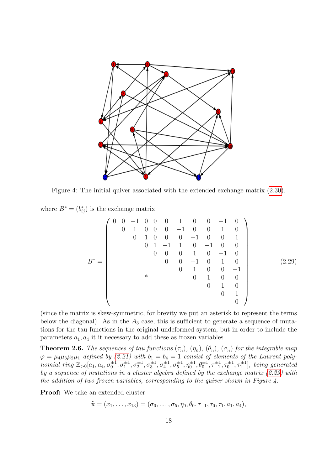

Figure 4: The initial quiver associated with the extended exchange matrix (2.30).

where  $B^* = (b_{ij}^*)$  is the exchange matrix

$$
B^* = \begin{pmatrix}\n0 & 0 & -1 & 0 & 0 & 0 & 1 & 0 & 0 & -1 & 0 \\
0 & 1 & 0 & 0 & 0 & -1 & 0 & 0 & 1 & 0 \\
0 & 1 & 0 & 0 & 0 & -1 & 0 & 0 & 1 \\
0 & 0 & 1 & -1 & 1 & 0 & -1 & 0 & 0 \\
0 & 0 & 0 & 1 & 0 & -1 & 0 & 0 \\
0 & 0 & 0 & -1 & 0 & 1 & 0 & 0 \\
0 & 1 & 0 & 0 & -1 & 0 & 0 & 0 \\
0 & 1 & 0 & 0 & 1 & 0 & 0 & 0 \\
0 & 0 & 1 & 0 & 0 & 1 & 0 \\
0 & 0 & 1 & 0 & 0 & 0 & 0 & 0\n\end{pmatrix}
$$
\n(2.29)

(since the matrix is skew-symmetric, for brevity we put an asterisk to represent the terms below the diagonal). As in the  $A_3$  case, this is sufficient to generate a sequence of mutations for the tau functions in the original undeformed system, but in order to include the parameters  $a_1, a_4$  it it necessary to add these as frozen variables.

**Theorem 2.6.** The sequences of tau functions  $(\tau_n)$ ,  $(\eta_n)$ ,  $(\theta_n)$ ,  $(\sigma_n)$  for the integrable map  $\varphi = \mu_4 \mu_3 \mu_2 \mu_1$  defined by (2.21) with  $b_1 = b_4 = 1$  consist of elements of the Laurent polynomial ring  $\mathbb{Z}_{>0}[a_1, a_4, \sigma_0^{\pm 1}, \sigma_1^{\pm 1}, \sigma_2^{\pm 1}, \sigma_3^{\pm 1}, \sigma_4^{\pm 1}, \sigma_5^{\pm 1}, \eta_0^{\pm 1}, \theta_0^{\pm 1}, \tau_{-1}^{\pm 1}, \tau_0^{\pm 1}, \tau_1^{\pm 1}]$ , being generated by a sequence of mutations in a cluster algebra defined by the exchange matrix (2.29) with the addition of two frozen variables, corresponding to the quiver shown in Figure 4.

Proof: We take an extended cluster

$$
\tilde{\mathbf{x}} = (\tilde{x}_1, \dots, \tilde{x}_{13}) = (\sigma_0, \dots, \sigma_5, \eta_0, \theta_0, \tau_{-1}, \tau_0, \tau_1, a_1, a_4),
$$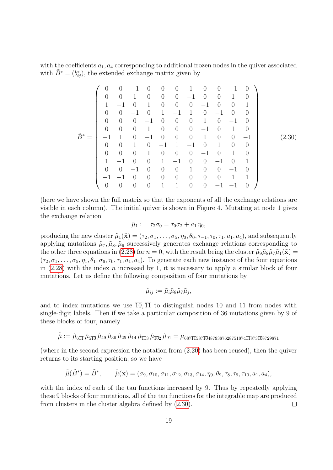with the coefficients  $a_1, a_4$  corresponding to additional frozen nodes in the quiver associated with  $\tilde{B}^* = (b_{ij}^*)$ , the extended exchange matrix given by

$$
\tilde{B}^* = \begin{pmatrix}\n0 & 0 & -1 & 0 & 0 & 0 & 1 & 0 & 0 & -1 & 0 \\
0 & 0 & 1 & 0 & 0 & 0 & -1 & 0 & 0 & 1 & 0 \\
1 & -1 & 0 & 1 & 0 & 0 & 0 & -1 & 0 & 0 & 1 \\
0 & 0 & -1 & 0 & 1 & -1 & 1 & 0 & -1 & 0 & 0 \\
0 & 0 & 0 & -1 & 0 & 0 & 0 & 1 & 0 & -1 & 0 \\
-1 & 1 & 0 & -1 & 0 & 0 & 0 & 1 & 0 & 0 & -1 \\
0 & 0 & 1 & 0 & -1 & 1 & -1 & 0 & 1 & 0 & 0 \\
0 & 0 & 0 & 1 & 0 & 0 & 0 & -1 & 0 & 1 & 0 \\
1 & -1 & 0 & 0 & 1 & -1 & 0 & 0 & -1 & 0 & 1 \\
0 & 0 & -1 & 0 & 0 & 0 & 1 & 0 & 0 & -1 & 0 \\
-1 & -1 & 0 & 0 & 0 & 0 & 0 & 0 & 0 & 0 & 1 & 1 \\
0 & 0 & 0 & 0 & 0 & 1 & 1 & 0 & 0 & -1 & -1 & 0\n\end{pmatrix}
$$
\n(2.30)

(here we have shown the full matrix so that the exponents of all the exchange relations are visible in each column). The initial quiver is shown in Figure 4. Mutating at node 1 gives the exchange relation

$$
\tilde{\mu}_1: \quad \tau_2 \sigma_0 = \tau_0 \sigma_2 + a_1 \eta_0,
$$

producing the new cluster  $\tilde{\mu}_1(\tilde{\mathbf{x}}) = (\tau_2, \sigma_1, \ldots, \sigma_5, \eta_0, \theta_0, \tau_{-1}, \tau_0, \tau_1, a_1, a_4)$ , and subsequently applying mutations  $\tilde{\mu}_7$ ,  $\tilde{\mu}_8$ ,  $\tilde{\mu}_9$  successively generates exchange relations corresponding to the other three equations in (2.28) for  $n = 0$ , with the result being the cluster  $\tilde{\mu}_9 \tilde{\mu}_8 \tilde{\mu}_7 \tilde{\mu}_1(\tilde{\mathbf{x}}) =$  $(\tau_2, \sigma_1, \ldots, \sigma_5, \eta_1, \theta_1, \sigma_6, \tau_0, \tau_1, a_1, a_4)$ . To generate each new instance of the four equations in  $(2.28)$  with the index n increased by 1, it is necessary to apply a similar block of four mutations. Let us define the following composition of four mutations by

$$
\hat{\mu}_{ij} := \tilde{\mu}_i \tilde{\mu}_8 \tilde{\mu}_7 \tilde{\mu}_j,
$$

and to index mutations we use  $\overline{10}, \overline{11}$  to distinguish nodes 10 and 11 from nodes with single-digit labels. Then if we take a particular composition of 36 mutations given by 9 of these blocks of four, namely

$$
\hat{\hat{\mu}} := \hat{\mu}_{6\overline{1}\overline{1}}\,\hat{\mu}_{5\overline{1}\overline{0}}\,\hat{\mu}_{49}\,\hat{\mu}_{36}\,\hat{\mu}_{25}\,\hat{\mu}_{14}\,\hat{\mu}_{\overline{1}\overline{1}3}\,\hat{\mu}_{\overline{1}\overline{0}2}\,\hat{\mu}_{91} = \tilde{\mu}_{687\overline{1}\overline{1}587\overline{1}\overline{0}4879387628751874\overline{1}\overline{1}873\overline{1}\overline{0}8729871}
$$

(where in the second expression the notation from (2.20) has been reused), then the quiver returns to its starting position; so we have

$$
\hat{\hat{\mu}}(\tilde{B}^*) = \tilde{B}^*, \qquad \hat{\hat{\mu}}(\tilde{\mathbf{x}}) = (\sigma_9, \sigma_{10}, \sigma_{11}, \sigma_{12}, \sigma_{13}, \sigma_{14}, \eta_9, \theta_9, \tau_8, \tau_9, \tau_{10}, a_1, a_4),
$$

with the index of each of the tau functions increased by 9. Thus by repeatedly applying these 9 blocks of four mutations, all of the tau functions for the integrable map are produced from clusters in the cluster algebra defined by (2.30).  $\Box$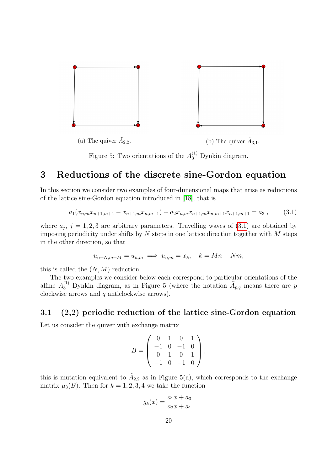

Figure 5: Two orientations of the  $A_3^{(1)}$  Dynkin diagram.

# 3 Reductions of the discrete sine-Gordon equation

In this section we consider two examples of four-dimensional maps that arise as reductions of the lattice sine-Gordon equation introduced in [18], that is

$$
a_1(x_{n,m}x_{n+1,m+1} - x_{n+1,m}x_{n,m+1}) + a_2x_{n,m}x_{n+1,m}x_{n,m+1}x_{n+1,m+1} = a_3 ,
$$
 (3.1)

where  $a_j$ ,  $j = 1, 2, 3$  are arbitrary parameters. Travelling waves of  $(3.1)$  are obtained by imposing periodicity under shifts by  $N$  steps in one lattice direction together with  $M$  steps in the other direction, so that

$$
u_{n+N,m+M} = u_{n,m} \implies u_{n,m} = x_k, \quad k = Mn - Nm;
$$

this is called the  $(N, M)$  reduction.

The two examples we consider below each correspond to particular orientations of the affine  $A_3^{(1)}$  Dynkin diagram, as in Figure 5 (where the notation  $\tilde{A}_{p,q}$  means there are p clockwise arrows and q anticlockwise arrows).

#### 3.1 (2,2) periodic reduction of the lattice sine-Gordon equation

Let us consider the quiver with exchange matrix

$$
B = \left(\begin{array}{rrr} 0 & 1 & 0 & 1 \\ -1 & 0 & -1 & 0 \\ 0 & 1 & 0 & 1 \\ -1 & 0 & -1 & 0 \end{array}\right);
$$

this is mutation equivalent to  $\tilde{A}_{2,2}$  as in Figure 5(a), which corresponds to the exchange matrix  $\mu_3(B)$ . Then for  $k = 1, 2, 3, 4$  we take the function

$$
g_k(x) = \frac{a_1x + a_3}{a_2x + a_1},
$$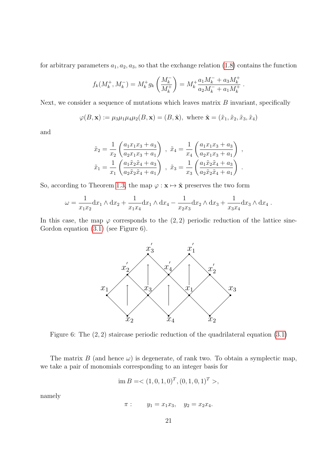for arbitrary parameters  $a_1, a_2, a_3$ , so that the exchange relation (1.8) contains the function

$$
f_k(M_k^+, M_k^-) = M_k^+ g_k \left(\frac{M_k^-}{M_k^+}\right) = M_k^+ \frac{a_1 M_k^- + a_3 M_k^+}{a_2 M_k^- + a_1 M_k^+}
$$

.

Next, we consider a sequence of mutations which leaves matrix  $B$  invariant, specifically

$$
\varphi(B, \mathbf{x}) := \mu_3 \mu_1 \mu_4 \mu_2(B, \mathbf{x}) = (B, \tilde{\mathbf{x}}), \text{ where } \tilde{\mathbf{x}} = (\tilde{x}_1, \tilde{x}_2, \tilde{x}_3, \tilde{x}_4)
$$

and

$$
\tilde{x}_2 = \frac{1}{x_2} \left( \frac{a_1 x_1 x_3 + a_3}{a_2 x_1 x_3 + a_1} \right) , \quad \tilde{x}_4 = \frac{1}{x_4} \left( \frac{a_1 x_1 x_3 + a_3}{a_2 x_1 x_3 + a_1} \right) ,
$$

$$
\tilde{x}_1 = \frac{1}{x_1} \left( \frac{a_1 \tilde{x}_2 \tilde{x}_4 + a_3}{a_2 \tilde{x}_2 \tilde{x}_4 + a_1} \right) , \quad \tilde{x}_3 = \frac{1}{x_3} \left( \frac{a_1 \tilde{x}_2 \tilde{x}_4 + a_3}{a_2 \tilde{x}_2 \tilde{x}_4 + a_1} \right) .
$$

So, according to Theorem 1.3, the map  $\varphi : \mathbf{x} \mapsto \tilde{\mathbf{x}}$  preserves the two form

$$
\omega = \frac{1}{x_1 x_2} dx_1 \wedge dx_2 + \frac{1}{x_1 x_4} dx_1 \wedge dx_4 - \frac{1}{x_2 x_3} dx_2 \wedge dx_3 + \frac{1}{x_3 x_4} dx_3 \wedge dx_4.
$$

In this case, the map  $\varphi$  corresponds to the (2, 2) periodic reduction of the lattice sine-Gordon equation (3.1) (see Figure 6).



Figure 6: The (2, 2) staircase periodic reduction of the quadrilateral equation (3.1)

The matrix B (and hence  $\omega$ ) is degenerate, of rank two. To obtain a symplectic map, we take a pair of monomials corresponding to an integer basis for

$$
\text{im } B = \langle (1,0,1,0)^T, (0,1,0,1)^T \rangle,
$$

namely

$$
\pi
$$
:  $y_1 = x_1 x_3$ ,  $y_2 = x_2 x_4$ .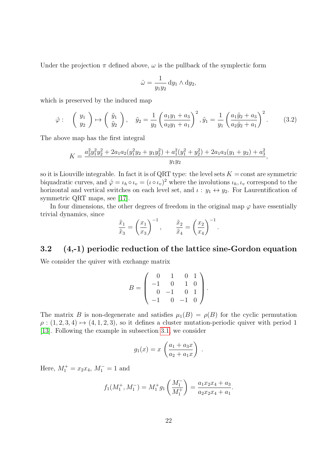Under the projection  $\pi$  defined above,  $\omega$  is the pullback of the symplectic form

$$
\hat{\omega} = \frac{1}{y_1 y_2} \, \mathrm{d}y_1 \wedge \mathrm{d}y_2,
$$

which is preserved by the induced map

$$
\hat{\varphi}: \quad \left(\begin{array}{c} y_1 \\ y_2 \end{array}\right) \mapsto \left(\begin{array}{c} \tilde{y}_1 \\ \tilde{y}_2 \end{array}\right), \quad \tilde{y}_2 = \frac{1}{y_2} \left(\frac{a_1 y_1 + a_3}{a_2 y_1 + a_1}\right)^2, \tilde{y}_1 = \frac{1}{y_1} \left(\frac{a_1 \tilde{y}_2 + a_3}{a_2 \tilde{y}_2 + a_1}\right)^2. \tag{3.2}
$$

The above map has the first integral

$$
K = \frac{a_2^2 y_1^2 y_2^2 + 2a_1 a_2 (y_1^2 y_2 + y_1 y_2^2) + a_1^2 (y_1^2 + y_2^2) + 2a_1 a_3 (y_1 + y_2) + a_3^2}{y_1 y_2},
$$

so it is Liouville integrable. In fact it is of QRT type: the level sets  $K = \text{const}$  are symmetric biquadratic curves, and  $\hat{\varphi} = \iota_h \circ \iota_v = (\iota \circ \iota_v)^2$  where the involutions  $\iota_h, \iota_v$  correspond to the horizontal and vertical switches on each level set, and  $\iota : y_1 \leftrightarrow y_2$ . For Laurentification of symmetric QRT maps, see [17].

In four dimensions, the other degrees of freedom in the original map  $\varphi$  have essentially trivial dynamics, since

$$
\frac{\tilde{x}_1}{\tilde{x}_3} = \left(\frac{x_1}{x_3}\right)^{-1}, \qquad \frac{\tilde{x}_2}{\tilde{x}_4} = \left(\frac{x_2}{x_4}\right)^{-1}.
$$

#### 3.2 (4,-1) periodic reduction of the lattice sine-Gordon equation

We consider the quiver with exchange matrix

$$
B = \left( \begin{array}{rrr} 0 & 1 & 0 & 1 \\ -1 & 0 & 1 & 0 \\ 0 & -1 & 0 & 1 \\ -1 & 0 & -1 & 0 \end{array} \right).
$$

The matrix B is non-degenerate and satisfies  $\mu_1(B) = \rho(B)$  for the cyclic permutation  $\rho$  :  $(1, 2, 3, 4) \mapsto (4, 1, 2, 3)$ , so it defines a cluster mutation-periodic quiver with period 1 [13]. Following the example in subsection 3.1, we consider

$$
g_1(x) = x \left( \frac{a_1 + a_3 x}{a_2 + a_1 x} \right)
$$

.

Here,  $M_1^+ = x_2 x_4$ ,  $M_1^- = 1$  and

$$
f_1(M_1^+, M_1^-) = M_1^+ g_1\left(\frac{M_1^-}{M_1^+}\right) = \frac{a_1 x_2 x_4 + a_3}{a_2 x_2 x_4 + a_1}.
$$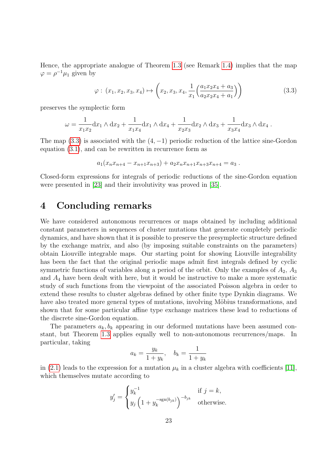Hence, the appropriate analogue of Theorem 1.3 (see Remark 1.4) implies that the map  $\varphi = \rho^{-1} \mu_1$  given by

$$
\varphi: (x_1, x_2, x_3, x_4) \mapsto \left(x_2, x_3, x_4, \frac{1}{x_1} \left(\frac{a_1 x_2 x_4 + a_3}{a_2 x_2 x_4 + a_1}\right)\right)
$$
(3.3)

preserves the symplectic form

$$
\omega = \frac{1}{x_1 x_2} dx_1 \wedge dx_2 + \frac{1}{x_1 x_4} dx_1 \wedge dx_4 + \frac{1}{x_2 x_3} dx_2 \wedge dx_3 + \frac{1}{x_3 x_4} dx_3 \wedge dx_4.
$$

The map  $(3.3)$  is associated with the  $(4, -1)$  periodic reduction of the lattice sine-Gordon equation (3.1), and can be rewritten in recurrence form as

$$
a_1(x_nx_{n+4}-x_{n+1}x_{n+3})+a_2x_nx_{n+1}x_{n+3}x_{n+4}=a_3.
$$

Closed-form expressions for integrals of periodic reductions of the sine-Gordon equation were presented in [23] and their involutivity was proved in [35].

# 4 Concluding remarks

We have considered autonomous recurrences or maps obtained by including additional constant parameters in sequences of cluster mutations that generate completely periodic dynamics, and have shown that it is possible to preserve the presymplectic structure defined by the exchange matrix, and also (by imposing suitable constraints on the parameters) obtain Liouville integrable maps. Our starting point for showing Liouville integrability has been the fact that the original periodic maps admit first integrals defined by cyclic symmetric functions of variables along a period of the orbit. Only the examples of  $A_2$ ,  $A_3$ and  $A_4$  have been dealt with here, but it would be instructive to make a more systematic study of such functions from the viewpoint of the associated Poisson algebra in order to extend these results to cluster algebras defined by other finite type Dynkin diagrams. We have also treated more general types of mutations, involving Möbius transformations, and shown that for some particular affine type exchange matrices these lead to reductions of the discrete sine-Gordon equation.

The parameters  $a_k, b_k$  appearing in our deformed mutations have been assumed constant, but Theorem 1.3 applies equally well to non-autonomous recurrences/maps. In particular, taking

$$
a_k = \frac{y_k}{1+y_k}, \quad b_k = \frac{1}{1+y_k}
$$

in (2.1) leads to the expression for a mutation  $\mu_k$  in a cluster algebra with coefficients [11], which themselves mutate according to

$$
y'_{j} = \begin{cases} y_{k}^{-1} & \text{if } j = k, \\ y_{j} \left( 1 + y_{k}^{-\text{sgn}(b_{jk})} \right)^{-b_{jk}} & \text{otherwise.} \end{cases}
$$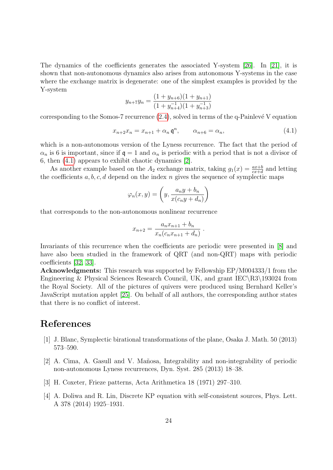The dynamics of the coefficients generates the associated Y-system [26]. In [21], it is shown that non-autonomous dynamics also arises from autonomous Y-systems in the case where the exchange matrix is degenerate: one of the simplest examples is provided by the Y-system

$$
y_{n+7}y_n = \frac{(1+y_{n+6})(1+y_{n+1})}{(1+y_{n+4}^{-1})(1+y_{n+3}^{-1})}
$$

corresponding to the Somos-7 recurrence  $(2.4)$ , solved in terms of the q-Painlevé V equation

$$
x_{n+2}x_n = x_{n+1} + \alpha_n \mathfrak{q}^n, \qquad \alpha_{n+6} = \alpha_n,\tag{4.1}
$$

which is a non-autonomous version of the Lyness recurrence. The fact that the period of  $\alpha_n$  is 6 is important, since if  $\mathfrak{q} = 1$  and  $\alpha_n$  is periodic with a period that is not a divisor of 6, then (4.1) appears to exhibit chaotic dynamics [2].

As another example based on the  $A_2$  exchange matrix, taking  $g_1(x) = \frac{ax+b}{cx+d}$  and letting the coefficients  $a, b, c, d$  depend on the index  $n$  gives the sequence of symplectic maps

$$
\varphi_n(x,y) = \left(y, \frac{a_n y + b_n}{x(c_n y + d_n)}\right)
$$

that corresponds to the non-autonomous nonlinear recurrence

$$
x_{n+2} = \frac{a_n x_{n+1} + b_n}{x_n (c_n x_{n+1} + d_n)}.
$$

Invariants of this recurrence when the coefficients are periodic were presented in [8] and have also been studied in the framework of QRT (and non-QRT) maps with periodic coefficients [32, 33].

Acknowledgments: This research was supported by Fellowship EP/M004333/1 from the Engineering & Physical Sciences Research Council, UK, and grant IEC\R3\193024 from the Royal Society. All of the pictures of quivers were produced using Bernhard Keller's JavaScript mutation applet [25]. On behalf of all authors, the corresponding author states that there is no conflict of interest.

# References

- [1] J. Blanc, Symplectic birational transformations of the plane, Osaka J. Math. 50 (2013) 573–590.
- [2] A. Cima, A. Gasull and V. Mañosa, Integrability and non-integrability of periodic non-autonomous Lyness recurrences, Dyn. Syst. 285 (2013) 18–38.
- [3] H. Coxeter, Frieze patterns, Acta Arithmetica 18 (1971) 297–310.
- [4] A. Doliwa and R. Lin, Discrete KP equation with self-consistent sources, Phys. Lett. A 378 (2014) 1925–1931.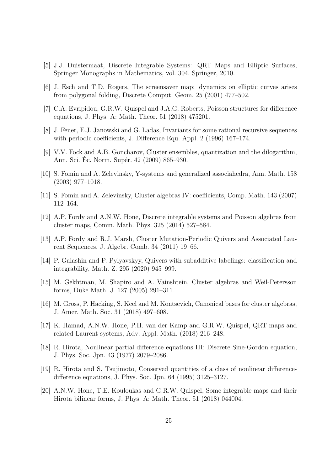- [5] J.J. Duistermaat, Discrete Integrable Systems: QRT Maps and Elliptic Surfaces, Springer Monographs in Mathematics, vol. 304. Springer, 2010.
- [6] J. Esch and T.D. Rogers, The screensaver map: dynamics on elliptic curves arises from polygonal folding, Discrete Comput. Geom. 25 (2001) 477–502.
- [7] C.A. Evripidou, G.R.W. Quispel and J.A.G. Roberts, Poisson structures for difference equations, J. Phys. A: Math. Theor. 51 (2018) 475201.
- [8] J. Feuer, E.J. Janowski and G. Ladas, Invariants for some rational recursive sequences with periodic coefficients, J. Difference Equ. Appl. 2 (1996) 167–174.
- [9] V.V. Fock and A.B. Goncharov, Cluster ensembles, quantization and the dilogarithm, Ann. Sci. Ec. Norm. Supér. 42 (2009) 865–930.
- [10] S. Fomin and A. Zelevinsky, Y-systems and generalized associahedra, Ann. Math. 158 (2003) 977–1018.
- [11] S. Fomin and A. Zelevinsky, Cluster algebras IV: coefficients, Comp. Math. 143 (2007) 112–164.
- [12] A.P. Fordy and A.N.W. Hone, Discrete integrable systems and Poisson algebras from cluster maps, Comm. Math. Phys. 325 (2014) 527–584.
- [13] A.P. Fordy and R.J. Marsh, Cluster Mutation-Periodic Quivers and Associated Laurent Sequences, J. Algebr. Comb. 34 (2011) 19–66.
- [14] P. Galashin and P. Pylyavskyy, Quivers with subadditive labelings: classification and integrability, Math. Z. 295 (2020) 945–999.
- [15] M. Gekhtman, M. Shapiro and A. Vainshtein, Cluster algebras and Weil-Petersson forms, Duke Math. J. 127 (2005) 291–311.
- [16] M. Gross, P. Hacking, S. Keel and M. Kontsevich, Canonical bases for cluster algebras, J. Amer. Math. Soc. 31 (2018) 497–608.
- [17] K. Hamad, A.N.W. Hone, P.H. van der Kamp and G.R.W. Quispel, QRT maps and related Laurent systems, Adv. Appl. Math. (2018) 216–248.
- [18] R. Hirota, Nonlinear partial difference equations III: Discrete Sine-Gordon equation, J. Phys. Soc. Jpn. 43 (1977) 2079–2086.
- [19] R. Hirota and S. Tsujimoto, Conserved quantities of a class of nonlinear differencedifference equations, J. Phys. Soc. Jpn. 64 (1995) 3125–3127.
- [20] A.N.W. Hone, T.E. Kouloukas and G.R.W. Quispel, Some integrable maps and their Hirota bilinear forms, J. Phys. A: Math. Theor. 51 (2018) 044004.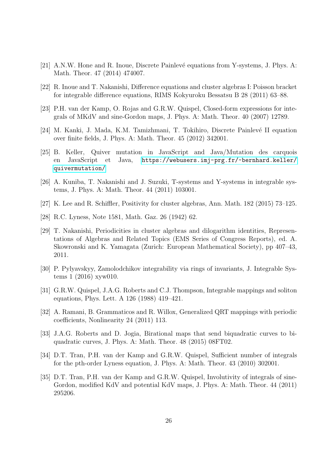- [21] A.N.W. Hone and R. Inoue, Discrete Painlevé equations from Y-systems, J. Phys. A: Math. Theor. 47 (2014) 474007.
- [22] R. Inoue and T. Nakanishi, Difference equations and cluster algebras I: Poisson bracket for integrable difference equations, RIMS Kokyuroku Bessatsu B 28 (2011) 63–88.
- [23] P.H. van der Kamp, O. Rojas and G.R.W. Quispel, Closed-form expressions for integrals of MKdV and sine-Gordon maps, J. Phys. A: Math. Theor. 40 (2007) 12789.
- [24] M. Kanki, J. Mada, K.M. Tamizhmani, T. Tokihiro, Discrete Painlevé II equation over finite fields, J. Phys. A: Math. Theor. 45 (2012) 342001.
- [25] B. Keller, Quiver mutation in JavaScript and Java/Mutation des carquois en JavaScript et Java, [https://webusers.imj-prg.fr/~bernhard.keller/](https://webusers.imj-prg.fr/~bernhard.keller/quivermutation/) [quivermutation/](https://webusers.imj-prg.fr/~bernhard.keller/quivermutation/)
- [26] A. Kuniba, T. Nakanishi and J. Suzuki, T-systems and Y-systems in integrable systems, J. Phys. A: Math. Theor. 44 (2011) 103001.
- [27] K. Lee and R. Schiffler, Positivity for cluster algebras, Ann. Math. 182 (2015) 73–125.
- [28] R.C. Lyness, Note 1581, Math. Gaz. 26 (1942) 62.
- [29] T. Nakanishi, Periodicities in cluster algebras and dilogarithm identities, Representations of Algebras and Related Topics (EMS Series of Congress Reports), ed. A. Skowronski and K. Yamagata (Zurich: European Mathematical Society), pp 407–43, 2011.
- [30] P. Pylyavskyy, Zamolodchikov integrability via rings of invariants, J. Integrable Systems 1 (2016) xyw010.
- [31] G.R.W. Quispel, J.A.G. Roberts and C.J. Thompson, Integrable mappings and soliton equations, Phys. Lett. A 126 (1988) 419–421.
- [32] A. Ramani, B. Grammaticos and R. Willox, Generalized QRT mappings with periodic coefficients, Nonlinearity 24 (2011) 113.
- [33] J.A.G. Roberts and D. Jogia, Birational maps that send biquadratic curves to biquadratic curves, J. Phys. A: Math. Theor. 48 (2015) 08FT02.
- [34] D.T. Tran, P.H. van der Kamp and G.R.W. Quispel, Sufficient number of integrals for the pth-order Lyness equation, J. Phys. A: Math. Theor. 43 (2010) 302001.
- [35] D.T. Tran, P.H. van der Kamp and G.R.W. Quispel, Involutivity of integrals of sine-Gordon, modified KdV and potential KdV maps, J. Phys. A: Math. Theor. 44 (2011) 295206.